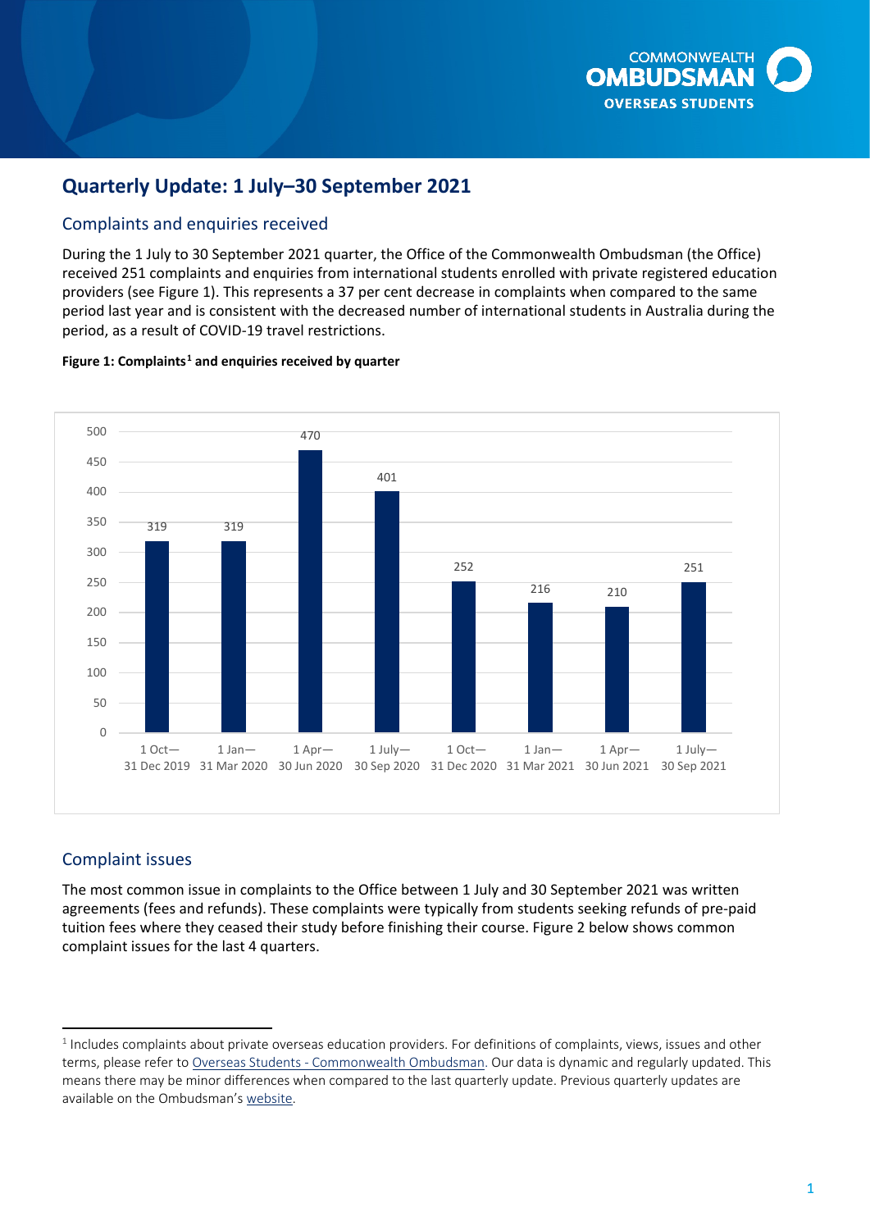

# **Quarterly Update: 1 July–30 September 2021**

## Complaints and enquiries received

 received 251 complaints and enquiries from international students enrolled with private registered education providers (see [Figure 1\)](#page-0-0). This represents a 37 per cent decrease in complaints when compared to the same period last year and is consistent with the decreased number of international students in Australia during the period, as a result of COVID-19 travel restrictions. During the 1 July to 30 September 2021 quarter, the Office of the Commonwealth Ombudsman (the Office)

### <span id="page-0-0"></span> **Figure 1: Complaints[1](#page-0-1) and enquiries received by quarter**



## Complaint issues

 The most common issue in complaints to the Office between 1 July and 30 September 2021 was written agreements (fees and refunds). These complaints were typically from students seeking refunds of pre-paid tuition fees where they ceased their study before finishing their course. [Figure 2](#page-1-0) below shows common complaint issues for the last 4 quarters.

<span id="page-0-1"></span> $<sup>1</sup>$  Includes complaints about private overseas education providers. For definitions of complaints, views, issues and other</sup> means there may be minor differences when compared to the last quarterly update. Previous quarterly updates are available on the Ombudsman'[s website.](https://www.ombudsman.gov.au/publications/industry/) terms, please refer to Overseas Students - [Commonwealth Ombudsman.](https://www.ombudsman.gov.au/__data/assets/pdf_file/0011/110621/Overseas-Students-Quarterly-Summary-October-to-December-2019.pdf) Our data is dynamic and regularly updated. This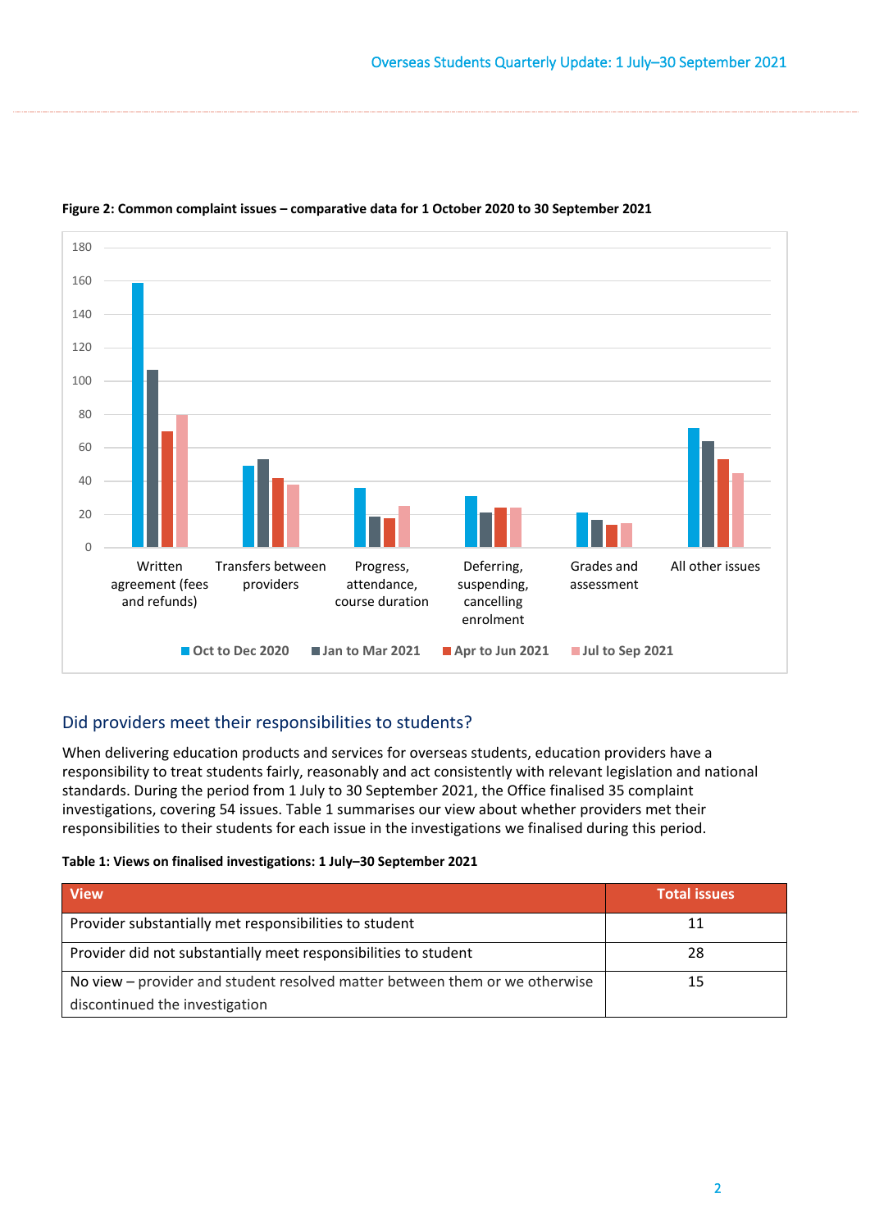

### <span id="page-1-0"></span> **Figure 2: Common complaint issues – comparative data for 1 October 2020 to 30 September 2021**

## Did providers meet their responsibilities to students?

 investigations, covering 54 issues. [Table 1 s](#page-1-1)ummarises our view about whether providers met their responsibilities to their students for each issue in the investigations we finalised during this period. When delivering education products and services for overseas students, education providers have a responsibility to treat students fairly, reasonably and act consistently with relevant legislation and national standards. During the period from 1 July to 30 September 2021, the Office finalised 35 complaint

#### <span id="page-1-1"></span>**Table 1: Views on finalised investigations: 1 July–30 September 2021**

| <b>View</b>                                                                 | <b>Total issues</b> |
|-----------------------------------------------------------------------------|---------------------|
| Provider substantially met responsibilities to student                      | 11                  |
| Provider did not substantially meet responsibilities to student             | 28                  |
| No view – provider and student resolved matter between them or we otherwise | 15                  |
| discontinued the investigation                                              |                     |